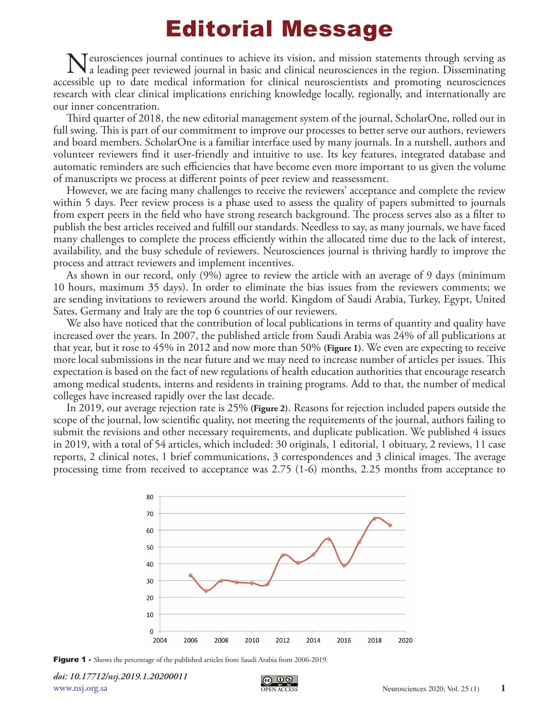## Editorial Message

Neurosciences journal continues to achieve its vision, and mission statements through serving as a leading peer reviewed journal in basic and clinical neurosciences in the region. Disseminating perceptible up to date modic accessible up to date medical information for clinical neuroscientists and promoting neurosciences research with clear clinical implications enriching knowledge locally, regionally, and internationally are our inner concentration.

Third quarter of 2018, the new editorial management system of the journal, ScholarOne, rolled out in full swing. This is part of our commitment to improve our processes to better serve our authors, reviewers and board members. ScholarOne is a familiar interface used by many journals. In a nutshell, authors and volunteer reviewers find it user-friendly and intuitive to use. Its key features, integrated database and automatic reminders are such efficiencies that have become even more important to us given the volume of manuscripts we process at different points of peer review and reassessment.

However, we are facing many challenges to receive the reviewers' acceptance and complete the review within 5 days. Peer review process is a phase used to assess the quality of papers submitted to journals from expert peers in the field who have strong research background. The process serves also as a filter to publish the best articles received and fulfill our standards. Needless to say, as many journals, we have faced many challenges to complete the process efficiently within the allocated time due to the lack of interest, availability, and the busy schedule of reviewers. Neurosciences journal is thriving hardly to improve the process and attract reviewers and implement incentives.

As shown in our record, only (9%) agree to review the article with an average of 9 days (minimum 10 hours, maximum 35 days). In order to eliminate the bias issues from the reviewers comments; we are sending invitations to reviewers around the world. Kingdom of Saudi Arabia, Turkey, Egypt, United Sates, Germany and Italy are the top 6 countries of our reviewers.

We also have noticed that the contribution of local publications in terms of quantity and quality have increased over the years. In 2007, the published article from Saudi Arabia was 24% of all publications at that year, but it rose to 45% in 2012 and now more than 50% **(Figure 1)**. We even are expecting to receive more local submissions in the near future and we may need to increase number of articles per issues. This expectation is based on the fact of new regulations of health education authorities that encourage research among medical students, interns and residents in training programs. Add to that, the number of medical colleges have increased rapidly over the last decade.

In 2019, our average rejection rate is 25% **(Figure 2)**. Reasons for rejection included papers outside the scope of the journal, low scientific quality, not meeting the requirements of the journal, authors failing to submit the revisions and other necessary requirements, and duplicate publication. We published 4 issues in 2019, with a total of 54 articles, which included: 30 originals, 1 editorial, 1 obituary, 2 reviews, 11 case reports, 2 clinical notes, 1 brief communications, 3 correspondences and 3 clinical images. The average processing time from received to acceptance was 2.75 (1-6) months, 2.25 months from acceptance to



Figure 1 - Shows the percentage of the published articles from Saudi Arabia from 2006-2019.

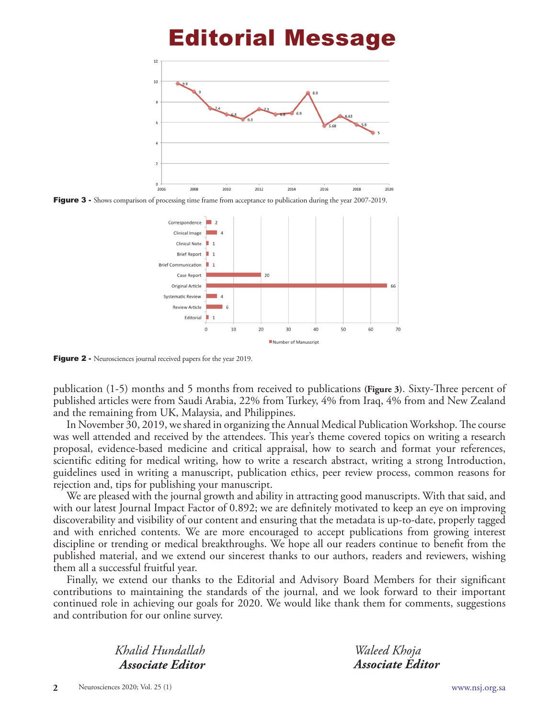## Editorial Message



Figure 3 - Shows comparison of processing time frame from acceptance to publication during the year 2007-2019.



Figure 2 - Neurosciences journal received papers for the year 2019.

publication (1-5) months and 5 months from received to publications **(Figure 3)**. Sixty-Three percent of published articles were from Saudi Arabia, 22% from Turkey, 4% from Iraq, 4% from and New Zealand and the remaining from UK, Malaysia, and Philippines.

In November 30, 2019, we shared in organizing the Annual Medical Publication Workshop. The course was well attended and received by the attendees. This year's theme covered topics on writing a research proposal, evidence-based medicine and critical appraisal, how to search and format your references, scientific editing for medical writing, how to write a research abstract, writing a strong Introduction, guidelines used in writing a manuscript, publication ethics, peer review process, common reasons for rejection and, tips for publishing your manuscript.

We are pleased with the journal growth and ability in attracting good manuscripts. With that said, and with our latest Journal Impact Factor of 0.892; we are definitely motivated to keep an eye on improving discoverability and visibility of our content and ensuring that the metadata is up-to-date, properly tagged and with enriched contents. We are more encouraged to accept publications from growing interest discipline or trending or medical breakthroughs. We hope all our readers continue to benefit from the published material, and we extend our sincerest thanks to our authors, readers and reviewers, wishing them all a successful fruitful year.

Finally, we extend our thanks to the Editorial and Advisory Board Members for their significant contributions to maintaining the standards of the journal, and we look forward to their important continued role in achieving our goals for 2020. We would like thank them for comments, suggestions and contribution for our online survey.

> *Khalid Hundallah Associate Editor*

*Waleed Khoja Associate Editor*